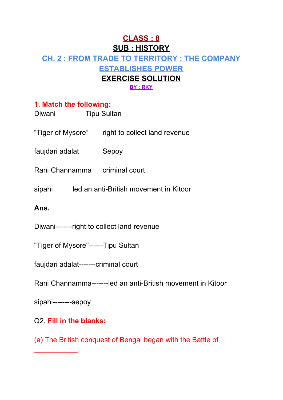# **CLASS : 8 SUB : HISTORY CH. 2 : FROM TRADE TO TERRITORY : THE COMPANY ESTABLISHES POWER EXERCISE SOLUTION BY : RKY**

#### **1. Match the following:**

| Diwani                                      | <b>Tipu Sultan</b>                              |
|---------------------------------------------|-------------------------------------------------|
|                                             | "Tiger of Mysore" right to collect land revenue |
| faujdari adalat Sepoy                       |                                                 |
|                                             | Rani Channamma criminal court                   |
|                                             | sipahi led an anti-British movement in Kitoor   |
| Ans.                                        |                                                 |
| Diwani--------right to collect land revenue |                                                 |
| "Tiger of Mysore"------Tipu Sultan          |                                                 |
| faujdari adalat-------criminal court        |                                                 |

Rani Channamma-------led an anti-British movement in Kitoor

sipahi--------sepoy

 $\frac{1}{2}$  ,  $\frac{1}{2}$  ,  $\frac{1}{2}$  ,  $\frac{1}{2}$  ,  $\frac{1}{2}$  ,  $\frac{1}{2}$ 

# Q2. **Fill in the blanks:**

(a) The British conquest of Bengal began with the Battle of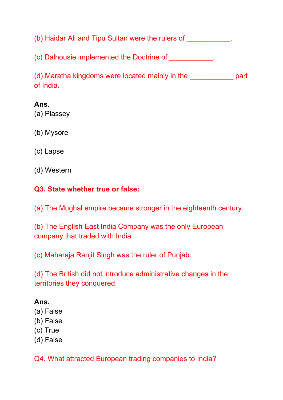(b) Haidar Ali and Tipu Sultan were the rulers of \_\_\_\_\_\_\_\_\_\_\_\_.

(c) Dalhousie implemented the Doctrine of  $\Box$ 

(d) Maratha kingdoms were located mainly in the \_\_\_\_\_\_\_\_\_\_\_ part of India.

#### **Ans.**

(a) Plassey

(b) Mysore

(c) Lapse

(d) Western

#### **Q3. State whether true or false:**

(a) The Mughal empire became stronger in the eighteenth century.

(b) The English East India Company was the only European company that traded with India.

(c) Maharaja Ranjit Singh was the ruler of Punjab.

(d) The British did not introduce administrative changes in the territories they conquered.

## **Ans.**

- (a) False
- (b) False
- (c) True
- (d) False

Q4. What attracted European trading companies to India?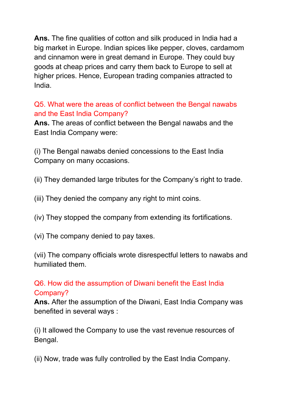**Ans.** The fine qualities of cotton and silk produced in India had a big market in Europe. Indian spices like pepper, cloves, cardamom and cinnamon were in great demand in Europe. They could buy goods at cheap prices and carry them back to Europe to sell at higher prices. Hence, European trading companies attracted to India.

## Q5. What were the areas of conflict between the Bengal nawabs and the East India Company?

**Ans.** The areas of conflict between the Bengal nawabs and the East India Company were:

(i) The Bengal nawabs denied concessions to the East India Company on many occasions.

(ii) They demanded large tributes for the Company's right to trade.

(iii) They denied the company any right to mint coins.

(iv) They stopped the company from extending its fortifications.

(vi) The company denied to pay taxes.

(vii) The company officials wrote disrespectful letters to nawabs and humiliated them.

# Q6. How did the assumption of Diwani benefit the East India Company?

**Ans.** After the assumption of the Diwani, East India Company was benefited in several ways :

(i) It allowed the Company to use the vast revenue resources of Bengal.

(ii) Now, trade was fully controlled by the East India Company.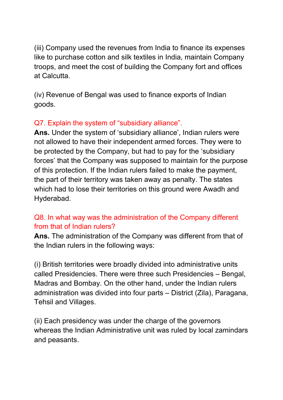(iii) Company used the revenues from India to finance its expenses like to purchase cotton and silk textiles in India, maintain Company troops, and meet the cost of building the Company fort and offices at Calcutta.

(iv) Revenue of Bengal was used to finance exports of Indian goods.

# Q7. Explain the system of "subsidiary alliance".

**Ans.** Under the system of 'subsidiary alliance', Indian rulers were not allowed to have their independent armed forces. They were to be protected by the Company, but had to pay for the 'subsidiary forces' that the Company was supposed to maintain for the purpose of this protection. If the Indian rulers failed to make the payment, the part of their territory was taken away as penalty. The states which had to lose their territories on this ground were Awadh and Hyderabad.

## Q8. In what way was the administration of the Company different from that of Indian rulers?

**Ans.** The administration of the Company was different from that of the Indian rulers in the following ways:

(i) British territories were broadly divided into administrative units called Presidencies. There were three such Presidencies – Bengal, Madras and Bombay. On the other hand, under the Indian rulers administration was divided into four parts – District (Zila), Paragana, Tehsil and Villages.

(ii) Each presidency was under the charge of the governors whereas the Indian Administrative unit was ruled by local zamindars and peasants.